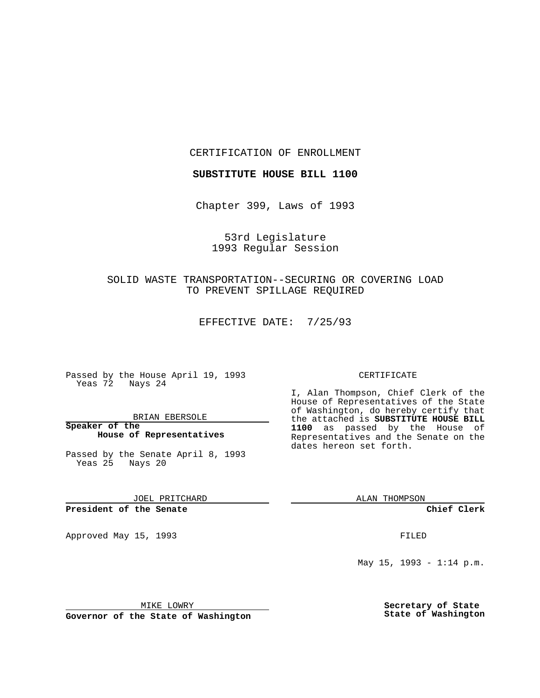CERTIFICATION OF ENROLLMENT

**SUBSTITUTE HOUSE BILL 1100**

Chapter 399, Laws of 1993

53rd Legislature 1993 Regular Session

SOLID WASTE TRANSPORTATION--SECURING OR COVERING LOAD TO PREVENT SPILLAGE REQUIRED

EFFECTIVE DATE: 7/25/93

Passed by the House April 19, 1993 Yeas 72 Nays 24

BRIAN EBERSOLE

**Speaker of the House of Representatives**

Passed by the Senate April 8, 1993 Yeas 25 Nays 20

JOEL PRITCHARD

**President of the Senate**

Approved May 15, 1993 **FILED** 

## CERTIFICATE

I, Alan Thompson, Chief Clerk of the House of Representatives of the State of Washington, do hereby certify that the attached is **SUBSTITUTE HOUSE BILL 1100** as passed by the House of Representatives and the Senate on the dates hereon set forth.

ALAN THOMPSON

**Chief Clerk**

May  $15$ ,  $1993 - 1:14$  p.m.

MIKE LOWRY

**Governor of the State of Washington**

**Secretary of State State of Washington**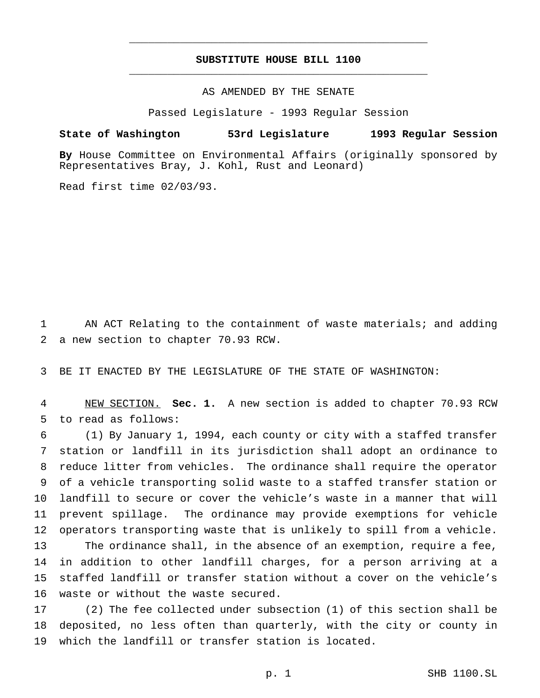## **SUBSTITUTE HOUSE BILL 1100** \_\_\_\_\_\_\_\_\_\_\_\_\_\_\_\_\_\_\_\_\_\_\_\_\_\_\_\_\_\_\_\_\_\_\_\_\_\_\_\_\_\_\_\_\_\_\_

\_\_\_\_\_\_\_\_\_\_\_\_\_\_\_\_\_\_\_\_\_\_\_\_\_\_\_\_\_\_\_\_\_\_\_\_\_\_\_\_\_\_\_\_\_\_\_

AS AMENDED BY THE SENATE

Passed Legislature - 1993 Regular Session

## **State of Washington 53rd Legislature 1993 Regular Session**

**By** House Committee on Environmental Affairs (originally sponsored by Representatives Bray, J. Kohl, Rust and Leonard)

Read first time 02/03/93.

 AN ACT Relating to the containment of waste materials; and adding a new section to chapter 70.93 RCW.

BE IT ENACTED BY THE LEGISLATURE OF THE STATE OF WASHINGTON:

 NEW SECTION. **Sec. 1.** A new section is added to chapter 70.93 RCW to read as follows:

 (1) By January 1, 1994, each county or city with a staffed transfer station or landfill in its jurisdiction shall adopt an ordinance to reduce litter from vehicles. The ordinance shall require the operator of a vehicle transporting solid waste to a staffed transfer station or landfill to secure or cover the vehicle's waste in a manner that will prevent spillage. The ordinance may provide exemptions for vehicle operators transporting waste that is unlikely to spill from a vehicle. The ordinance shall, in the absence of an exemption, require a fee, in addition to other landfill charges, for a person arriving at a staffed landfill or transfer station without a cover on the vehicle's waste or without the waste secured.

 (2) The fee collected under subsection (1) of this section shall be deposited, no less often than quarterly, with the city or county in which the landfill or transfer station is located.